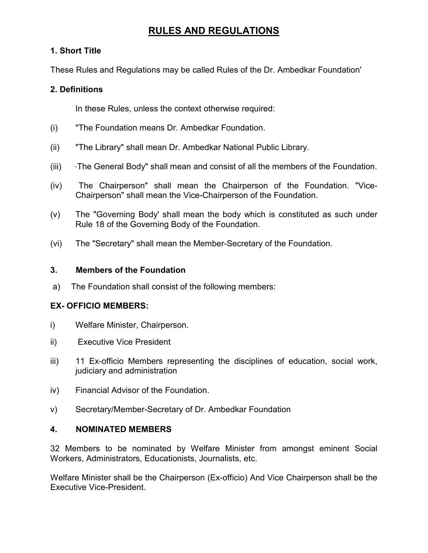# RULES AND REGULATIONS

## 1. Short Title

These Rules and Regulations may be called Rules of the Dr. Ambedkar Foundation'

## 2. Definitions

In these Rules, unless the context otherwise required:

- (i) "The Foundation means Dr. Ambedkar Foundation.
- (ii) "The Library" shall mean Dr. Ambedkar National Public Library.
- (iii) "The General Body" shall mean and consist of all the members of the Foundation.
- (iv) The Chairperson" shall mean the Chairperson of the Foundation. "Vice-Chairperson" shall mean the Vice-Chairperson of the Foundation.
- (v) The "Governing Body' shall mean the body which is constituted as such under Rule 18 of the Governing Body of the Foundation.
- (vi) The "Secretary" shall mean the Member-Secretary of the Foundation.

### 3. Members of the Foundation

a) The Foundation shall consist of the following members:

## EX- OFFICIO MEMBERS:

- i) Welfare Minister, Chairperson.
- ii) Executive Vice President
- iii) 11 Ex-officio Members representing the disciplines of education, social work, judiciary and administration
- iv) Financial Advisor of the Foundation.
- v) Secretary/Member-Secretary of Dr. Ambedkar Foundation

### 4. NOMINATED MEMBERS

32 Members to be nominated by Welfare Minister from amongst eminent Social Workers, Administrators, Educationists, Journalists, etc.

Welfare Minister shall be the Chairperson (Ex-officio) And Vice Chairperson shall be the Executive Vice-President.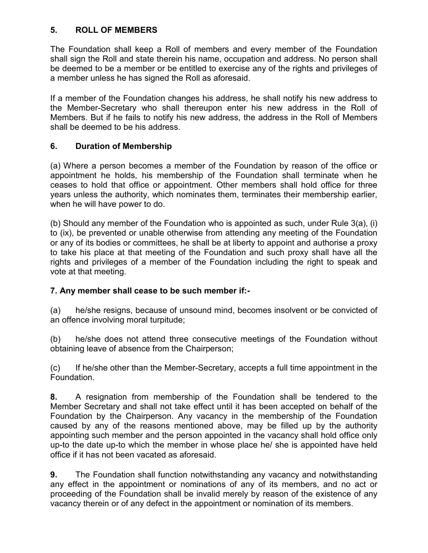## 5. ROLL OF MEMBERS

The Foundation shall keep a Roll of members and every member of the Foundation shall sign the Roll and state therein his name, occupation and address. No person shall be deemed to be a member or be entitled to exercise any of the rights and privileges of a member unless he has signed the Roll as aforesaid.

If a member of the Foundation changes his address, he shall notify his new address to the Member-Secretary who shall thereupon enter his new address in the Roll of Members. But if he fails to notify his new address, the address in the Roll of Members shall be deemed to be his address.

### 6. Duration of Membership

(a) Where a person becomes a member of the Foundation by reason of the office or appointment he holds, his membership of the Foundation shall terminate when he ceases to hold that office or appointment. Other members shall hold office for three years unless the authority, which nominates them, terminates their membership earlier, when he will have power to do.

(b) Should any member of the Foundation who is appointed as such, under Rule 3(a), (i) to (ix), be prevented or unable otherwise from attending any meeting of the Foundation or any of its bodies or committees, he shall be at liberty to appoint and authorise a proxy to take his place at that meeting of the Foundation and such proxy shall have all the rights and privileges of a member of the Foundation including the right to speak and vote at that meeting.

### 7. Any member shall cease to be such member if:-

(a) he/she resigns, because of unsound mind, becomes insolvent or be convicted of an offence involving moral turpitude;

(b) he/she does not attend three consecutive meetings of the Foundation without obtaining leave of absence from the Chairperson;

(c) If he/she other than the Member-Secretary, accepts a full time appointment in the Foundation.

8. A resignation from membership of the Foundation shall be tendered to the Member Secretary and shall not take effect until it has been accepted on behalf of the Foundation by the Chairperson. Any vacancy in the membership of the Foundation caused by any of the reasons mentioned above, may be filled up by the authority appointing such member and the person appointed in the vacancy shall hold office only up-to the date up-to which the member in whose place he/ she is appointed have held office if it has not been vacated as aforesaid.

9. The Foundation shall function notwithstanding any vacancy and notwithstanding any effect in the appointment or nominations of any of its members, and no act or proceeding of the Foundation shall be invalid merely by reason of the existence of any vacancy therein or of any defect in the appointment or nomination of its members.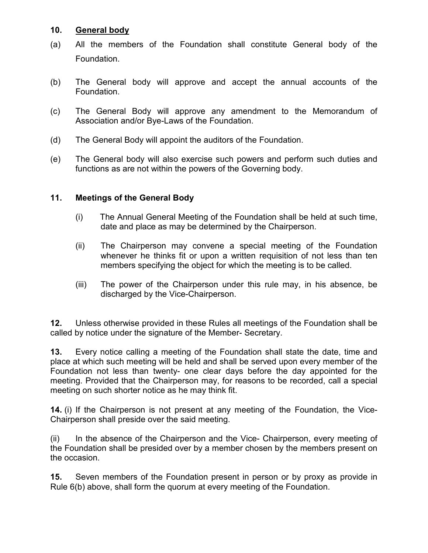#### 10. General body

- (a) All the members of the Foundation shall constitute General body of the Foundation.
- (b) The General body will approve and accept the annual accounts of the Foundation.
- (c) The General Body will approve any amendment to the Memorandum of Association and/or Bye-Laws of the Foundation.
- (d) The General Body will appoint the auditors of the Foundation.
- (e) The General body will also exercise such powers and perform such duties and functions as are not within the powers of the Governing body.

#### 11. Meetings of the General Body

- (i) The Annual General Meeting of the Foundation shall be held at such time, date and place as may be determined by the Chairperson.
- (ii) The Chairperson may convene a special meeting of the Foundation whenever he thinks fit or upon a written requisition of not less than ten members specifying the object for which the meeting is to be called.
- (iii) The power of the Chairperson under this rule may, in his absence, be discharged by the Vice-Chairperson.

12. Unless otherwise provided in these Rules all meetings of the Foundation shall be called by notice under the signature of the Member- Secretary.

13. Every notice calling a meeting of the Foundation shall state the date, time and place at which such meeting will be held and shall be served upon every member of the Foundation not less than twenty- one clear days before the day appointed for the meeting. Provided that the Chairperson may, for reasons to be recorded, call a special meeting on such shorter notice as he may think fit.

14. (i) If the Chairperson is not present at any meeting of the Foundation, the Vice-Chairperson shall preside over the said meeting.

(ii) In the absence of the Chairperson and the Vice- Chairperson, every meeting of the Foundation shall be presided over by a member chosen by the members present on the occasion.

15. Seven members of the Foundation present in person or by proxy as provide in Rule 6(b) above, shall form the quorum at every meeting of the Foundation.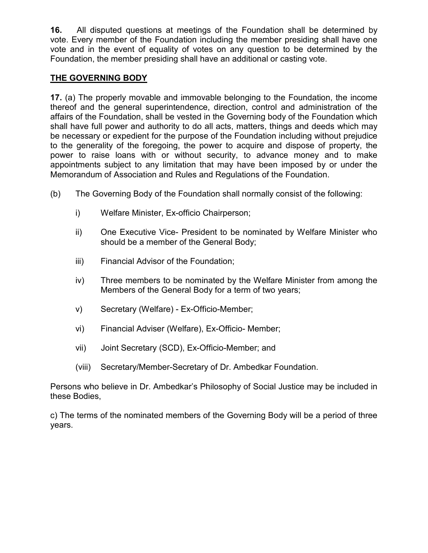16. All disputed questions at meetings of the Foundation shall be determined by vote. Every member of the Foundation including the member presiding shall have one vote and in the event of equality of votes on any question to be determined by the Foundation, the member presiding shall have an additional or casting vote.

### THE GOVERNING BODY

17. (a) The properly movable and immovable belonging to the Foundation, the income thereof and the general superintendence, direction, control and administration of the affairs of the Foundation, shall be vested in the Governing body of the Foundation which shall have full power and authority to do all acts, matters, things and deeds which may be necessary or expedient for the purpose of the Foundation including without prejudice to the generality of the foregoing, the power to acquire and dispose of property, the power to raise loans with or without security, to advance money and to make appointments subject to any limitation that may have been imposed by or under the Memorandum of Association and Rules and Regulations of the Foundation.

- (b) The Governing Body of the Foundation shall normally consist of the following:
	- i) Welfare Minister, Ex-officio Chairperson;
	- ii) One Executive Vice- President to be nominated by Welfare Minister who should be a member of the General Body;
	- iii) Financial Advisor of the Foundation;
	- iv) Three members to be nominated by the Welfare Minister from among the Members of the General Body for a term of two years;
	- v) Secretary (Welfare) Ex-Officio-Member;
	- vi) Financial Adviser (Welfare), Ex-Officio- Member;
	- vii) Joint Secretary (SCD), Ex-Officio-Member; and
	- (viii) Secretary/Member-Secretary of Dr. Ambedkar Foundation.

Persons who believe in Dr. Ambedkar's Philosophy of Social Justice may be included in these Bodies,

c) The terms of the nominated members of the Governing Body will be a period of three years.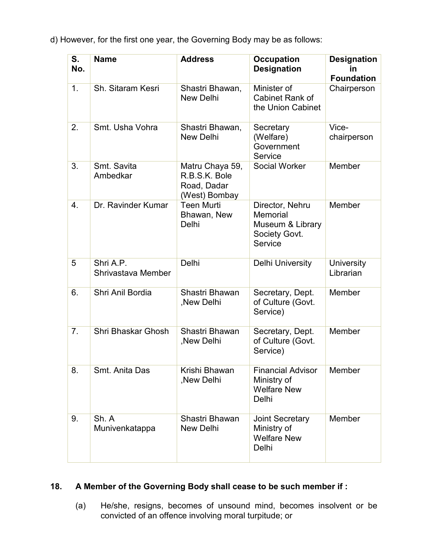d) However, for the first one year, the Governing Body may be as follows:

| S.<br>No.        | <b>Name</b>                     | <b>Address</b>                                                   | <b>Occupation</b><br><b>Designation</b>                                     | <b>Designation</b><br>in<br><b>Foundation</b> |
|------------------|---------------------------------|------------------------------------------------------------------|-----------------------------------------------------------------------------|-----------------------------------------------|
| 1.               | Sh. Sitaram Kesri               | Shastri Bhawan,<br><b>New Delhi</b>                              | Minister of<br>Cabinet Rank of<br>the Union Cabinet                         | Chairperson                                   |
| 2.               | Smt. Usha Vohra                 | Shastri Bhawan,<br><b>New Delhi</b>                              | Secretary<br>(Welfare)<br>Government<br>Service                             | Vice-<br>chairperson                          |
| 3.               | Smt. Savita<br>Ambedkar         | Matru Chaya 59,<br>R.B.S.K. Bole<br>Road, Dadar<br>(West) Bombay | <b>Social Worker</b>                                                        | Member                                        |
| $\overline{4}$ . | Dr. Ravinder Kumar              | <b>Teen Murti</b><br>Bhawan, New<br>Delhi                        | Director, Nehru<br>Memorial<br>Museum & Library<br>Society Govt.<br>Service | Member                                        |
| 5                | Shri A.P.<br>Shrivastava Member | Delhi                                                            | Delhi University                                                            | University<br>Librarian                       |
| 6.               | Shri Anil Bordia                | Shastri Bhawan<br>,New Delhi                                     | Secretary, Dept.<br>of Culture (Govt.<br>Service)                           | Member                                        |
| 7.               | Shri Bhaskar Ghosh              | Shastri Bhawan<br>, New Delhi                                    | Secretary, Dept.<br>of Culture (Govt.<br>Service)                           | Member                                        |
| 8.               | Smt. Anita Das                  | Krishi Bhawan<br>, New Delhi                                     | <b>Financial Advisor</b><br>Ministry of<br><b>Welfare New</b><br>Delhi      | Member                                        |
| 9.               | Sh. A<br>Munivenkatappa         | Shastri Bhawan<br><b>New Delhi</b>                               | <b>Joint Secretary</b><br>Ministry of<br><b>Welfare New</b><br>Delhi        | Member                                        |

#### 18. A Member of the Governing Body shall cease to be such member if :

(a) He/she, resigns, becomes of unsound mind, becomes insolvent or be convicted of an offence involving moral turpitude; or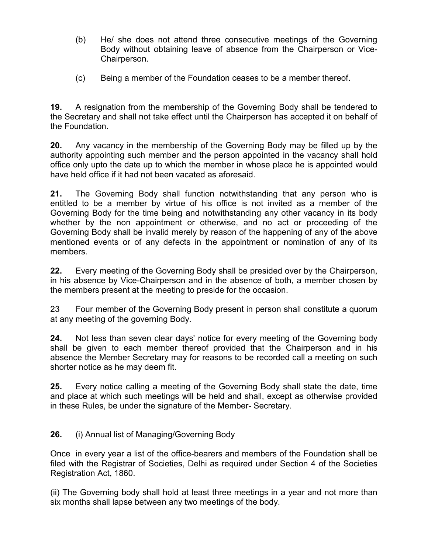- (b) He/ she does not attend three consecutive meetings of the Governing Body without obtaining leave of absence from the Chairperson or Vice-Chairperson.
- (c) Being a member of the Foundation ceases to be a member thereof.

19. A resignation from the membership of the Governing Body shall be tendered to the Secretary and shall not take effect until the Chairperson has accepted it on behalf of the Foundation.

20. Any vacancy in the membership of the Governing Body may be filled up by the authority appointing such member and the person appointed in the vacancy shall hold office only upto the date up to which the member in whose place he is appointed would have held office if it had not been vacated as aforesaid.

21. The Governing Body shall function notwithstanding that any person who is entitled to be a member by virtue of his office is not invited as a member of the Governing Body for the time being and notwithstanding any other vacancy in its body whether by the non appointment or otherwise, and no act or proceeding of the Governing Body shall be invalid merely by reason of the happening of any of the above mentioned events or of any defects in the appointment or nomination of any of its members.

22. Every meeting of the Governing Body shall be presided over by the Chairperson, in his absence by Vice-Chairperson and in the absence of both, a member chosen by the members present at the meeting to preside for the occasion.

23 Four member of the Governing Body present in person shall constitute a quorum at any meeting of the governing Body.

24. Not less than seven clear days' notice for every meeting of the Governing body shall be given to each member thereof provided that the Chairperson and in his absence the Member Secretary may for reasons to be recorded call a meeting on such shorter notice as he may deem fit.

25. Every notice calling a meeting of the Governing Body shall state the date, time and place at which such meetings will be held and shall, except as otherwise provided in these Rules, be under the signature of the Member- Secretary.

26. (i) Annual list of Managing/Governing Body

Once in every year a list of the office-bearers and members of the Foundation shall be filed with the Registrar of Societies, Delhi as required under Section 4 of the Societies Registration Act, 1860.

(ii) The Governing body shall hold at least three meetings in a year and not more than six months shall lapse between any two meetings of the body.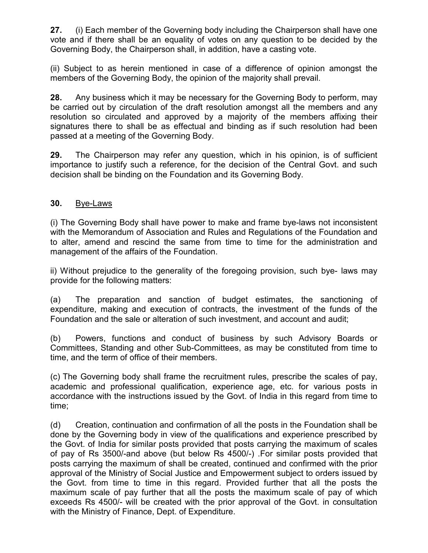27. (i) Each member of the Governing body including the Chairperson shall have one vote and if there shall be an equality of votes on any question to be decided by the Governing Body, the Chairperson shall, in addition, have a casting vote.

(ii) Subject to as herein mentioned in case of a difference of opinion amongst the members of the Governing Body, the opinion of the majority shall prevail.

28. Any business which it may be necessary for the Governing Body to perform, may be carried out by circulation of the draft resolution amongst all the members and any resolution so circulated and approved by a majority of the members affixing their signatures there to shall be as effectual and binding as if such resolution had been passed at a meeting of the Governing Body.

29. The Chairperson may refer any question, which in his opinion, is of sufficient importance to justify such a reference, for the decision of the Central Govt. and such decision shall be binding on the Foundation and its Governing Body.

#### 30. Bye-Laws

(i) The Governing Body shall have power to make and frame bye-laws not inconsistent with the Memorandum of Association and Rules and Regulations of the Foundation and to alter, amend and rescind the same from time to time for the administration and management of the affairs of the Foundation.

ii) Without prejudice to the generality of the foregoing provision, such bye- laws may provide for the following matters:

(a) The preparation and sanction of budget estimates, the sanctioning of expenditure, making and execution of contracts, the investment of the funds of the Foundation and the sale or alteration of such investment, and account and audit;

(b) Powers, functions and conduct of business by such Advisory Boards or Committees, Standing and other Sub-Committees, as may be constituted from time to time, and the term of office of their members.

(c) The Governing body shall frame the recruitment rules, prescribe the scales of pay, academic and professional qualification, experience age, etc. for various posts in accordance with the instructions issued by the Govt. of India in this regard from time to time;

(d) Creation, continuation and confirmation of all the posts in the Foundation shall be done by the Governing body in view of the qualifications and experience prescribed by the Govt. of India for similar posts provided that posts carrying the maximum of scales of pay of Rs 3500/-and above (but below Rs 4500/-) .For similar posts provided that posts carrying the maximum of shall be created, continued and confirmed with the prior approval of the Ministry of Social Justice and Empowerment subject to orders issued by the Govt. from time to time in this regard. Provided further that all the posts the maximum scale of pay further that all the posts the maximum scale of pay of which exceeds Rs 4500/- will be created with the prior approval of the Govt. in consultation with the Ministry of Finance, Dept. of Expenditure.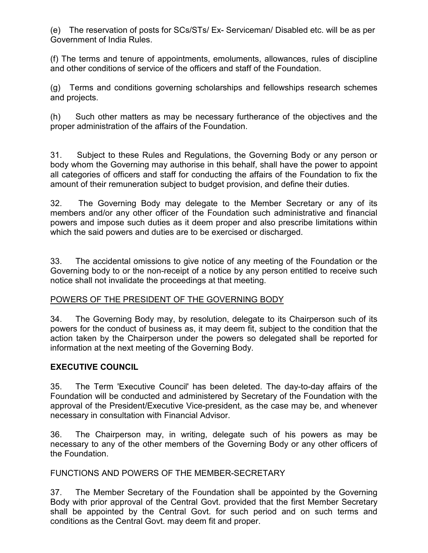(e) The reservation of posts for SCs/STs/ Ex- Serviceman/ Disabled etc. will be as per Government of India Rules.

(f) The terms and tenure of appointments, emoluments, allowances, rules of discipline and other conditions of service of the officers and staff of the Foundation.

(g) Terms and conditions governing scholarships and fellowships research schemes and projects.

(h) Such other matters as may be necessary furtherance of the objectives and the proper administration of the affairs of the Foundation.

31. Subject to these Rules and Regulations, the Governing Body or any person or body whom the Governing may authorise in this behalf, shall have the power to appoint all categories of officers and staff for conducting the affairs of the Foundation to fix the amount of their remuneration subject to budget provision, and define their duties.

32. The Governing Body may delegate to the Member Secretary or any of its members and/or any other officer of the Foundation such administrative and financial powers and impose such duties as it deem proper and also prescribe limitations within which the said powers and duties are to be exercised or discharged.

33. The accidental omissions to give notice of any meeting of the Foundation or the Governing body to or the non-receipt of a notice by any person entitled to receive such notice shall not invalidate the proceedings at that meeting.

### POWERS OF THE PRESIDENT OF THE GOVERNING BODY

34. The Governing Body may, by resolution, delegate to its Chairperson such of its powers for the conduct of business as, it may deem fit, subject to the condition that the action taken by the Chairperson under the powers so delegated shall be reported for information at the next meeting of the Governing Body.

### EXECUTIVE COUNCIL

35. The Term 'Executive Council' has been deleted. The day-to-day affairs of the Foundation will be conducted and administered by Secretary of the Foundation with the approval of the President/Executive Vice-president, as the case may be, and whenever necessary in consultation with Financial Advisor.

36. The Chairperson may, in writing, delegate such of his powers as may be necessary to any of the other members of the Governing Body or any other officers of the Foundation.

#### FUNCTIONS AND POWERS OF THE MEMBER-SECRETARY

37. The Member Secretary of the Foundation shall be appointed by the Governing Body with prior approval of the Central Govt. provided that the first Member Secretary shall be appointed by the Central Govt. for such period and on such terms and conditions as the Central Govt. may deem fit and proper.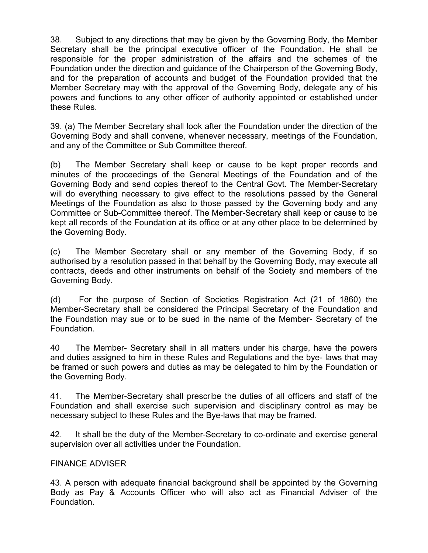38. Subject to any directions that may be given by the Governing Body, the Member Secretary shall be the principal executive officer of the Foundation. He shall be responsible for the proper administration of the affairs and the schemes of the Foundation under the direction and guidance of the Chairperson of the Governing Body, and for the preparation of accounts and budget of the Foundation provided that the Member Secretary may with the approval of the Governing Body, delegate any of his powers and functions to any other officer of authority appointed or established under these Rules.

39. (a) The Member Secretary shall look after the Foundation under the direction of the Governing Body and shall convene, whenever necessary, meetings of the Foundation, and any of the Committee or Sub Committee thereof.

(b) The Member Secretary shall keep or cause to be kept proper records and minutes of the proceedings of the General Meetings of the Foundation and of the Governing Body and send copies thereof to the Central Govt. The Member-Secretary will do everything necessary to give effect to the resolutions passed by the General Meetings of the Foundation as also to those passed by the Governing body and any Committee or Sub-Committee thereof. The Member-Secretary shall keep or cause to be kept all records of the Foundation at its office or at any other place to be determined by the Governing Body.

(c) The Member Secretary shall or any member of the Governing Body, if so authorised by a resolution passed in that behalf by the Governing Body, may execute all contracts, deeds and other instruments on behalf of the Society and members of the Governing Body.

(d) For the purpose of Section of Societies Registration Act (21 of 1860) the Member-Secretary shall be considered the Principal Secretary of the Foundation and the Foundation may sue or to be sued in the name of the Member- Secretary of the Foundation.

40 The Member- Secretary shall in all matters under his charge, have the powers and duties assigned to him in these Rules and Regulations and the bye- laws that may be framed or such powers and duties as may be delegated to him by the Foundation or the Governing Body.

41. The Member-Secretary shall prescribe the duties of all officers and staff of the Foundation and shall exercise such supervision and disciplinary control as may be necessary subject to these Rules and the Bye-laws that may be framed.

42. It shall be the duty of the Member-Secretary to co-ordinate and exercise general supervision over all activities under the Foundation.

#### FINANCE ADVISER

43. A person with adequate financial background shall be appointed by the Governing Body as Pay & Accounts Officer who will also act as Financial Adviser of the Foundation.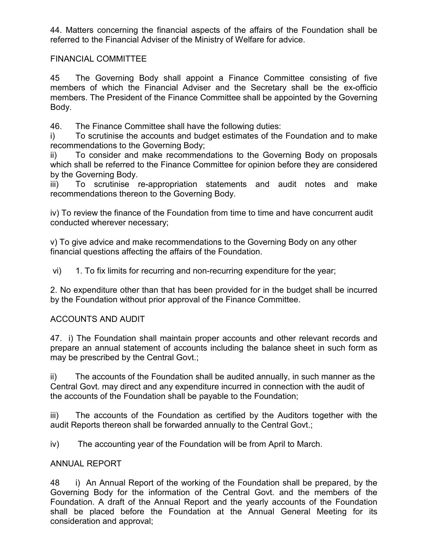44. Matters concerning the financial aspects of the affairs of the Foundation shall be referred to the Financial Adviser of the Ministry of Welfare for advice.

### FINANCIAL COMMITTEE

45 The Governing Body shall appoint a Finance Committee consisting of five members of which the Financial Adviser and the Secretary shall be the ex-officio members. The President of the Finance Committee shall be appointed by the Governing Body.

46. The Finance Committee shall have the following duties:

i) To scrutinise the accounts and budget estimates of the Foundation and to make recommendations to the Governing Body;

ii) To consider and make recommendations to the Governing Body on proposals which shall be referred to the Finance Committee for opinion before they are considered by the Governing Body.

iii) To scrutinise re-appropriation statements and audit notes and make recommendations thereon to the Governing Body.

iv) To review the finance of the Foundation from time to time and have concurrent audit conducted wherever necessary;

v) To give advice and make recommendations to the Governing Body on any other financial questions affecting the affairs of the Foundation.

vi) 1. To fix limits for recurring and non-recurring expenditure for the year;

2. No expenditure other than that has been provided for in the budget shall be incurred by the Foundation without prior approval of the Finance Committee.

#### ACCOUNTS AND AUDIT

47. i) The Foundation shall maintain proper accounts and other relevant records and prepare an annual statement of accounts including the balance sheet in such form as may be prescribed by the Central Govt.;

ii) The accounts of the Foundation shall be audited annually, in such manner as the Central Govt. may direct and any expenditure incurred in connection with the audit of the accounts of the Foundation shall be payable to the Foundation;

iii) The accounts of the Foundation as certified by the Auditors together with the audit Reports thereon shall be forwarded annually to the Central Govt.;

iv) The accounting year of the Foundation will be from April to March.

#### ANNUAL REPORT

48 i) An Annual Report of the working of the Foundation shall be prepared, by the Governing Body for the information of the Central Govt. and the members of the Foundation. A draft of the Annual Report and the yearly accounts of the Foundation shall be placed before the Foundation at the Annual General Meeting for its consideration and approval;